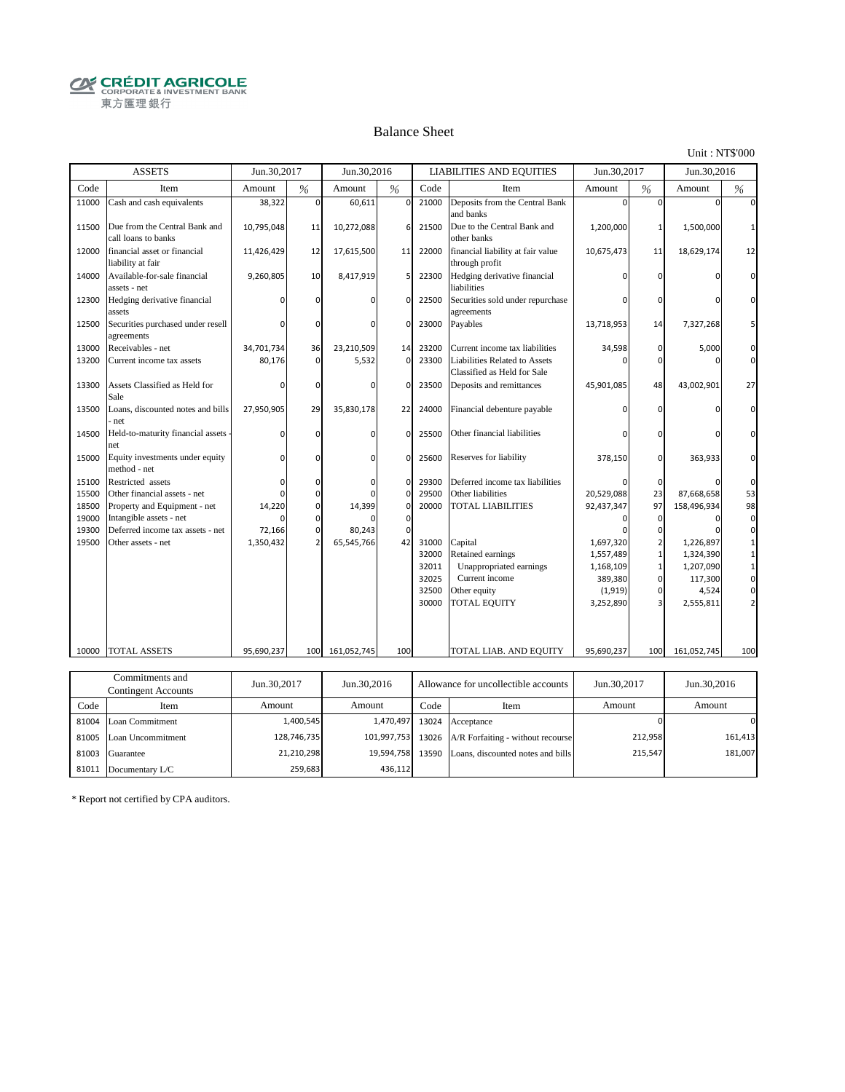**CRÉDIT AGRICOLE** 東方匯理銀行

#### Balance Sheet

Unit : NT\$'000

|       | <b>ASSETS</b>                                        | Jun.30,2017 |                | Jun.30,2016           |               |       | <b>LIABILITIES AND EQUITIES</b>                              | Jun.30,2017   |                | Jun.30,2016  |                |
|-------|------------------------------------------------------|-------------|----------------|-----------------------|---------------|-------|--------------------------------------------------------------|---------------|----------------|--------------|----------------|
| Code  | Item                                                 | Amount      | %              | Amount                | $\frac{0}{6}$ | Code  | Item                                                         | Amount        | %              | Amount       | $\%$           |
| 11000 | Cash and cash equivalents                            | 38,322      | $\Omega$       | 60,611                | $\mathbf 0$   | 21000 | Deposits from the Central Bank<br>and banks                  |               | $\Omega$       |              | $\Omega$       |
| 11500 | Due from the Central Bank and<br>call loans to banks | 10,795,048  | 11             | 10,272,088            | 6             | 21500 | Due to the Central Bank and<br>other banks                   | 1,200,000     | 1              | 1,500,000    | 1              |
| 12000 | financial asset or financial<br>liability at fair    | 11,426,429  | 12             | 17,615,500            | 11            | 22000 | financial liability at fair value<br>through profit          | 10,675,473    | 11             | 18,629,174   | 12             |
| 14000 | Available-for-sale financial<br>assets - net         | 9,260,805   | 10             | 8,417,919             | 5             | 22300 | Hedging derivative financial<br>liabilities                  |               | $\Omega$       |              | $\Omega$       |
| 12300 | Hedging derivative financial<br>assets               |             | $\Omega$       |                       | $\Omega$      | 22500 | Securities sold under repurchase<br>agreements               |               | $\Omega$       | O            | $\Omega$       |
| 12500 | Securities purchased under resell<br>agreements      | $\Omega$    | $\Omega$       | $\Omega$              | $\Omega$      | 23000 | Payables                                                     | 13,718,953    | 14             | 7,327,268    | 5              |
| 13000 | Receivables - net                                    | 34,701,734  | 36             | 23,210,509            | 14            | 23200 | Current income tax liabilities                               | 34,598        | $\mathbf 0$    | 5,000        | $\mathbf{0}$   |
| 13200 | Current income tax assets                            | 80,176      | $\mathbf{0}$   | 5,532                 | $\Omega$      | 23300 | Liabilities Related to Assets<br>Classified as Held for Sale |               | $\Omega$       |              | $\mathbf{0}$   |
| 13300 | Assets Classified as Held for<br>Sale                | O           | $\mathbf 0$    | n                     | $\Omega$      | 23500 | Deposits and remittances                                     | 45,901,085    | 48             | 43,002,901   | 27             |
| 13500 | Loans, discounted notes and bills<br>net             | 27,950,905  | 29             | 35,830,178            | 22            | 24000 | Financial debenture payable                                  |               | $\Omega$       |              | $\Omega$       |
| 14500 | Held-to-maturity financial assets<br>net             | $\Omega$    | $\Omega$       | $\Omega$              | $\Omega$      | 25500 | Other financial liabilities                                  | ŋ             | $\Omega$       | n            | $\Omega$       |
| 15000 | Equity investments under equity<br>method - net      | O           | $\Omega$       | <sup>0</sup>          | $\mathbf 0$   | 25600 | Reserves for liability                                       | 378,150       | $\mathbf{0}$   | 363,933      | $\Omega$       |
| 15100 | Restricted assets                                    | $\Omega$    | $\Omega$       | $\Omega$              | $\Omega$      | 29300 | Deferred income tax liabilities                              |               | $\mathbf{0}$   |              | $\mathbf{0}$   |
| 15500 | Other financial assets - net                         | $\Omega$    | $\mathbf 0$    |                       | $\mathbf 0$   | 29500 | Other liabilities                                            | 20,529,088    | 23             | 87,668,658   | 53             |
| 18500 | Property and Equipment - net                         | 14,220      | $\mathbf 0$    | 14,399                | $\mathbf 0$   | 20000 | <b>TOTAL LIABILITIES</b>                                     | 92,437,347    | 97             | 158,496,934  | 98             |
| 19000 | Intangible assets - net                              | $\Omega$    | $\mathbf 0$    |                       | $\mathbf 0$   |       |                                                              | ŋ             | $\Omega$       | 0            | $\mathbf 0$    |
| 19300 | Deferred income tax assets - net                     | 72,166      | $\mathbf{0}$   | 80,243                | 0             |       |                                                              |               | $\Omega$       |              | $\overline{0}$ |
| 19500 | Other assets - net                                   | 1,350,432   | $\overline{2}$ | 65,545,766            | 42            | 31000 | Capital                                                      | 1,697,320     | $\overline{2}$ | 1,226,897    | $\mathbf{1}$   |
|       |                                                      |             |                |                       |               | 32000 | Retained earnings                                            | 1,557,489     | $\mathbf{1}$   | 1,324,390    | $\mathbf 1$    |
|       |                                                      |             |                |                       |               | 32011 | Unappropriated earnings                                      | 1,168,109     | $\mathbf{1}$   | 1,207,090    | $\mathbf{1}$   |
|       |                                                      |             |                |                       |               | 32025 | Current income                                               | 389,380       | $\mathbf{0}$   | 117,300      | $\mathbf 0$    |
|       |                                                      |             |                |                       |               | 32500 | Other equity                                                 | (1, 919)      | $\mathbf{0}$   | 4,524        | $\mathbf 0$    |
|       |                                                      |             |                |                       |               | 30000 | <b>TOTAL EQUITY</b>                                          | 3,252,890     | $\overline{3}$ | 2,555,811    | $\overline{2}$ |
| 10000 | <b>TOTAL ASSETS</b>                                  | 95,690,237  | 100            | 161,052,745           | 100           |       | TOTAL LIAB. AND EQUITY                                       | 95,690,237    | 100            | 161,052,745  | 100            |
|       |                                                      |             |                |                       |               |       |                                                              |               |                |              |                |
|       | Commitments and                                      | 1.00017     |                | $\frac{1}{2}$ 20.2016 |               |       |                                                              | $T = 20.2017$ |                | $T = 20.201$ |                |

| Commitments and<br>Contingent Accounts |                         | Jun.30,2017<br>Jun. 30, 2016<br>Allowance for uncollectible accounts |                  | Jun.30,2017 | Jun.30,2016                                         |         |         |
|----------------------------------------|-------------------------|----------------------------------------------------------------------|------------------|-------------|-----------------------------------------------------|---------|---------|
| Code                                   | Item                    | Amount                                                               | Amount           | Code        | Item                                                | Amount  | Amount  |
|                                        | 81004 Loan Commitment   | 1,400,545                                                            | 1,470,497        |             | 13024 Acceptance                                    |         |         |
|                                        | 81005 Loan Uncommitment | 128,746,735                                                          |                  |             | 101,997,753 13026 A/R Forfaiting - without recourse | 212,958 | 161,413 |
|                                        | 81003 Guarantee         | 21,210,298                                                           | 19,594,758 13590 |             | Loans, discounted notes and bills                   | 215,547 | 181,007 |
| 81011                                  | Documentary L/C         | 259.683                                                              | 436.112          |             |                                                     |         |         |

\* Report not certified by CPA auditors.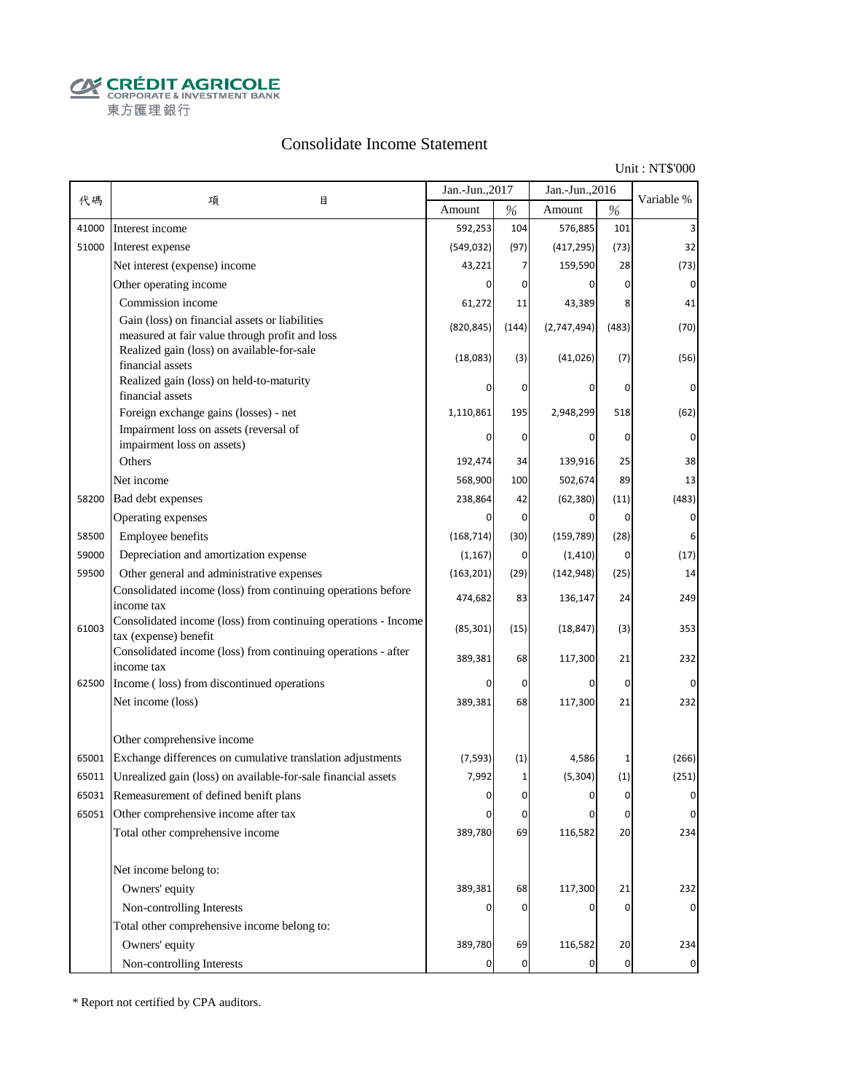**CALCOUT AGRICOLE**<br>
CORPORATE & INVESTMENT BANK<br>
東方匯理銀行

### Consolidate Income Statement

Unit : NT\$'000

|       |                                                                                                  | Jan.-Jun., 2017 |                | Jan.-Jun., 2016 |                | Variable %  |
|-------|--------------------------------------------------------------------------------------------------|-----------------|----------------|-----------------|----------------|-------------|
| 代碼    | 項<br>目                                                                                           | Amount          | %              | Amount          | $\%$           |             |
| 41000 | Interest income                                                                                  | 592,253         | 104            | 576,885         | 101            |             |
| 51000 | Interest expense                                                                                 | (549, 032)      | (97)           | (417, 295)      | (73)           | 32          |
|       | Net interest (expense) income                                                                    | 43,221          | 7              | 159,590         | 28             | (73)        |
|       | Other operating income                                                                           |                 | 0              |                 | $\overline{0}$ | 0           |
|       | Commission income                                                                                | 61,272          | 11             | 43,389          | 8              | 41          |
|       | Gain (loss) on financial assets or liabilities<br>measured at fair value through profit and loss | (820, 845)      | (144)          | (2,747,494)     | (483)          | (70)        |
|       | Realized gain (loss) on available-for-sale<br>financial assets                                   | (18,083)        | (3)            | (41, 026)       | (7)            | (56)        |
|       | Realized gain (loss) on held-to-maturity<br>financial assets                                     |                 | 0              | 0               | 0              | 0           |
|       | Foreign exchange gains (losses) - net                                                            | 1,110,861       | 195            | 2,948,299       | 518            | (62)        |
|       | Impairment loss on assets (reversal of                                                           | 0               | $\mathbf 0$    | 0               | 0              | 0           |
|       | impairment loss on assets)<br>Others                                                             |                 |                |                 |                |             |
|       |                                                                                                  | 192,474         | 34             | 139,916         | 25             | 38          |
|       | Net income                                                                                       | 568,900         | 100            | 502,674         | 89             | 13          |
| 58200 | Bad debt expenses                                                                                | 238,864         | 42             | (62, 380)       | (11)           | (483)       |
|       | Operating expenses                                                                               | 0               | $\overline{0}$ | 0               | $\overline{0}$ | $\mathbf 0$ |
| 58500 | Employee benefits                                                                                | (168, 714)      | (30)           | (159, 789)      | (28)           | 6           |
| 59000 | Depreciation and amortization expense                                                            | (1, 167)        | $\mathbf 0$    | (1, 410)        | $\mathbf 0$    | (17)        |
| 59500 | Other general and administrative expenses                                                        | (163, 201)      | (29)           | (142, 948)      | (25)           | 14          |
|       | Consolidated income (loss) from continuing operations before<br>income tax                       | 474,682         | 83             | 136,147         | 24             | 249         |
| 61003 | Consolidated income (loss) from continuing operations - Income<br>tax (expense) benefit          | (85, 301)       | (15)           | (18, 847)       | (3)            | 353         |
|       | Consolidated income (loss) from continuing operations - after<br>income tax                      | 389,381         | 68             | 117,300         | 21             | 232         |
| 62500 | Income (loss) from discontinued operations                                                       | 0               | $\overline{0}$ | 0               | $\overline{0}$ | $\mathbf 0$ |
|       | Net income (loss)                                                                                | 389,381         | 68             | 117,300         | 21             | 232         |
|       | Other comprehensive income                                                                       |                 |                |                 |                |             |
| 65001 | Exchange differences on cumulative translation adjustments                                       | (7, 593)        | (1)            | 4,586           | 1              | (266)       |
| 65011 | Unrealized gain (loss) on available-for-sale financial assets                                    | 7,992           | 1              | (5, 304)        | (1)            | (251)       |
| 65031 | Remeasurement of defined benift plans                                                            | $\mathbf 0$     | $\mathbf{0}$   | <sup>0</sup>    | $\mathbf{0}$   | 0           |
|       | 65051 Other comprehensive income after tax                                                       | 0               | 0              | 0               | 0              | 0           |
|       | Total other comprehensive income                                                                 | 389,780         | 69             | 116,582         | 20             | 234         |
|       | Net income belong to:                                                                            |                 |                |                 |                |             |
|       | Owners' equity                                                                                   | 389,381         | 68             | 117,300         | 21             | 232         |
|       | Non-controlling Interests                                                                        |                 | 0              | 0               | $\overline{0}$ | 0           |
|       | Total other comprehensive income belong to:                                                      |                 |                |                 |                |             |
|       | Owners' equity                                                                                   | 389,780         | 69             | 116,582         | 20             | 234         |
|       | Non-controlling Interests                                                                        |                 | $\overline{0}$ |                 | $\overline{0}$ | 0           |

\* Report not certified by CPA auditors.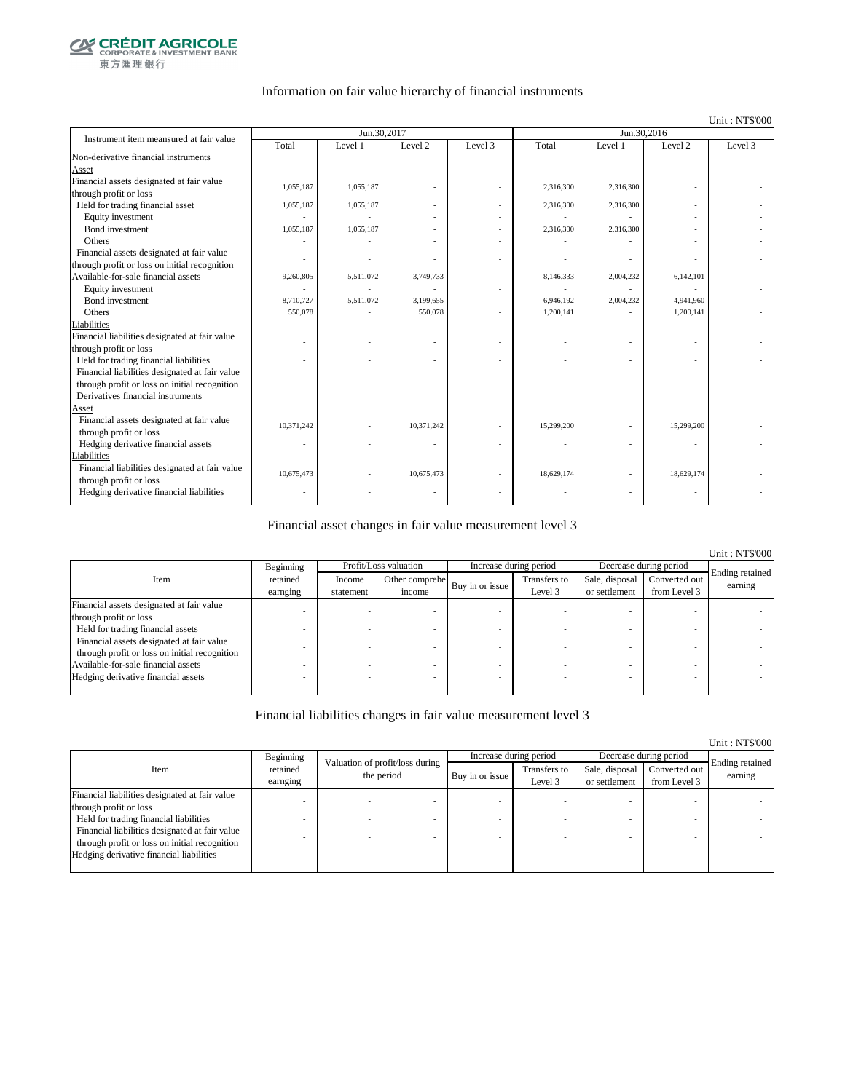

### Information on fair value hierarchy of financial instruments

#### Unit : NT\$'000

Unit : NT\$'000

| Instrument item meansured at fair value        |                          | Jun.30,2017 |            |         | Jun.30,2016 |           |                          |         |
|------------------------------------------------|--------------------------|-------------|------------|---------|-------------|-----------|--------------------------|---------|
|                                                | Total                    | Level 1     | Level 2    | Level 3 | Total       | Level 1   | Level 2                  | Level 3 |
| Non-derivative financial instruments           |                          |             |            |         |             |           |                          |         |
| Asset                                          |                          |             |            |         |             |           |                          |         |
| Financial assets designated at fair value      | 1,055,187                | 1,055,187   |            |         | 2,316,300   | 2,316,300 |                          |         |
| through profit or loss                         |                          |             |            |         |             |           |                          |         |
| Held for trading financial asset               | 1,055,187                | 1,055,187   |            |         | 2,316,300   | 2,316,300 |                          |         |
| Equity investment                              |                          |             |            |         |             |           |                          |         |
| <b>Bond</b> investment                         | 1,055,187                | 1,055,187   |            |         | 2,316,300   | 2,316,300 |                          |         |
| Others                                         |                          |             |            |         |             |           |                          |         |
| Financial assets designated at fair value      |                          |             |            |         |             |           |                          |         |
| through profit or loss on initial recognition  |                          |             |            |         |             |           |                          |         |
| Available-for-sale financial assets            | 9,260,805                | 5,511,072   | 3,749,733  |         | 8,146,333   | 2,004,232 | 6,142,101                |         |
| Equity investment                              |                          |             |            |         |             |           |                          |         |
| Bond investment                                | 8,710,727                | 5,511,072   | 3,199,655  |         | 6,946,192   | 2,004,232 | 4,941,960                |         |
| Others                                         | 550,078                  |             | 550,078    |         | 1,200,141   |           | 1,200,141                |         |
| Liabilities                                    |                          |             |            |         |             |           |                          |         |
| Financial liabilities designated at fair value |                          |             |            |         |             |           |                          |         |
| through profit or loss                         |                          |             |            |         |             |           |                          |         |
| Held for trading financial liabilities         |                          |             |            |         |             |           |                          |         |
| Financial liabilities designated at fair value |                          |             |            |         |             |           |                          |         |
| through profit or loss on initial recognition  |                          |             |            |         |             |           |                          |         |
| Derivatives financial instruments              |                          |             |            |         |             |           |                          |         |
| Asset                                          |                          |             |            |         |             |           |                          |         |
| Financial assets designated at fair value      | 10.371.242               |             | 10,371,242 |         | 15,299,200  |           | 15,299,200               |         |
| through profit or loss                         |                          |             |            |         |             |           |                          |         |
| Hedging derivative financial assets            | $\overline{\phantom{m}}$ |             |            |         | ٠           |           | $\overline{\phantom{a}}$ |         |
| Liabilities                                    |                          |             |            |         |             |           |                          |         |
| Financial liabilities designated at fair value | 10,675,473               |             | 10,675,473 |         | 18,629,174  |           | 18,629,174               |         |
| through profit or loss                         |                          |             |            |         |             |           |                          |         |
| Hedging derivative financial liabilities       |                          |             |            |         |             |           |                          |         |
|                                                |                          |             |            |         |             |           |                          |         |

### Financial asset changes in fair value measurement level 3

|                                               |           |           |                       |                        |              |                        |               | Unit: NT\$'000  |
|-----------------------------------------------|-----------|-----------|-----------------------|------------------------|--------------|------------------------|---------------|-----------------|
|                                               | Beginning |           | Profit/Loss valuation | Increase during period |              | Decrease during period |               |                 |
| Item                                          | retained  | Income    | Other comprehe        |                        | Transfers to | Sale, disposal         | Converted out | Ending retained |
|                                               | earnging  | statement | income                | Buy in or issue        | Level 3      | or settlement          | from Level 3  | earning         |
| Financial assets designated at fair value     |           |           |                       |                        |              |                        |               |                 |
| through profit or loss                        |           |           |                       |                        |              |                        |               |                 |
| Held for trading financial assets             |           |           |                       |                        |              |                        |               |                 |
| Financial assets designated at fair value     |           |           |                       |                        |              |                        |               |                 |
| through profit or loss on initial recognition |           |           |                       |                        |              |                        |               |                 |
| Available-for-sale financial assets           |           |           |                       |                        |              |                        |               |                 |
| Hedging derivative financial assets           |           |           |                       |                        |              |                        |               |                 |
|                                               |           |           |                       |                        |              |                        |               |                 |

### Financial liabilities changes in fair value measurement level 3

|                                                |                      |                                               |                 |                         |                                 |                               | <u>UMIL.ITTU UUU</u>       |
|------------------------------------------------|----------------------|-----------------------------------------------|-----------------|-------------------------|---------------------------------|-------------------------------|----------------------------|
|                                                | Beginning            |                                               |                 | Increase during period  |                                 | Decrease during period        |                            |
| Item                                           | retained<br>earnging | Valuation of profit/loss during<br>the period | Buy in or issue | Transfers to<br>Level 3 | Sale, disposal<br>or settlement | Converted out<br>from Level 3 | Ending retained<br>earning |
| Financial liabilities designated at fair value |                      |                                               |                 |                         |                                 |                               |                            |
| through profit or loss                         |                      |                                               |                 |                         |                                 |                               |                            |
| Held for trading financial liabilities         |                      |                                               |                 |                         |                                 |                               |                            |
| Financial liabilities designated at fair value |                      |                                               |                 |                         |                                 |                               |                            |
| through profit or loss on initial recognition  |                      |                                               |                 |                         |                                 |                               |                            |
| Hedging derivative financial liabilities       |                      |                                               |                 |                         |                                 |                               |                            |
|                                                |                      |                                               |                 |                         |                                 |                               |                            |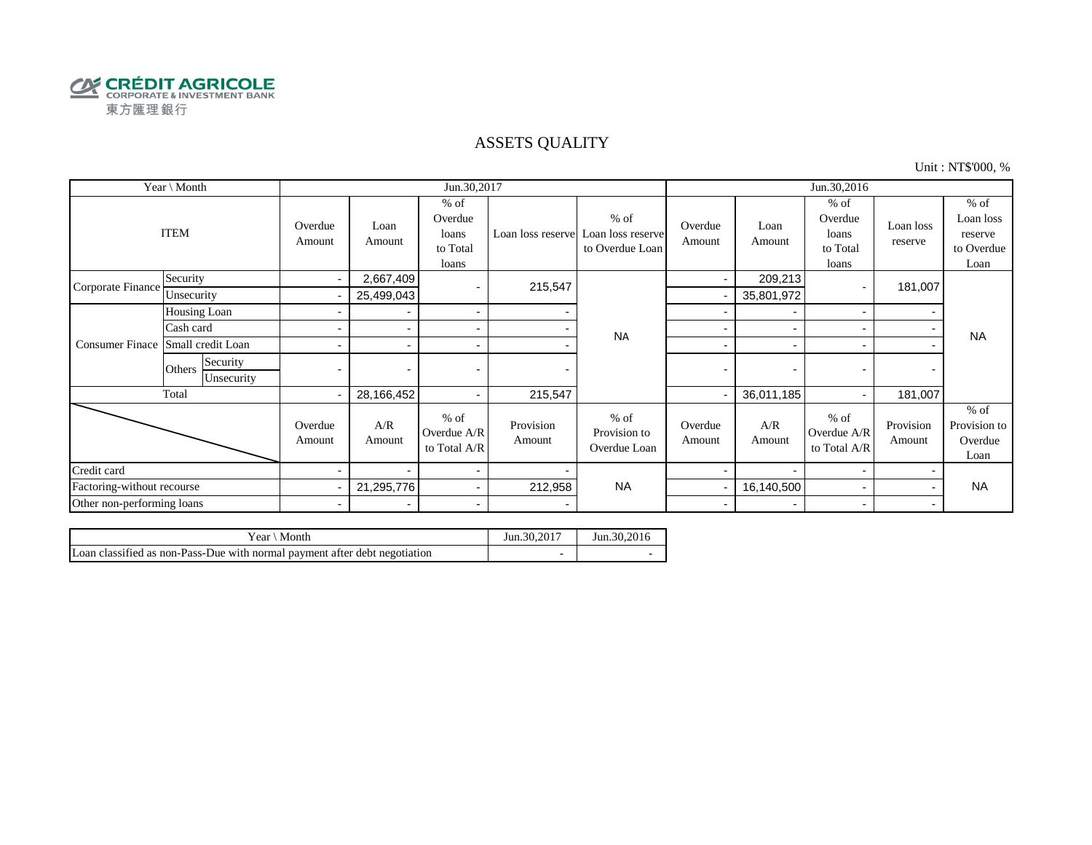

### ASSETS QUALITY

Unit : NT\$'000, %

| Year \ Month               |                                  |                   |                          | Jun.30,2017                                     |                     |                                                                  | Jun.30,2016              |                          |                                                 |                          |                                                      |
|----------------------------|----------------------------------|-------------------|--------------------------|-------------------------------------------------|---------------------|------------------------------------------------------------------|--------------------------|--------------------------|-------------------------------------------------|--------------------------|------------------------------------------------------|
|                            | <b>ITEM</b>                      | Overdue<br>Amount | Loan<br>Amount           | $%$ of<br>Overdue<br>loans<br>to Total<br>loans |                     | $%$ of<br>Loan loss reserve Loan loss reserve<br>to Overdue Loan | Overdue<br>Amount        | Loan<br>Amount           | $%$ of<br>Overdue<br>loans<br>to Total<br>loans | Loan loss<br>reserve     | $%$ of<br>Loan loss<br>reserve<br>to Overdue<br>Loan |
| Corporate Finance          | Security                         | $\sim$            | 2,667,409                |                                                 | 215,547             |                                                                  | $\blacksquare$           | 209,213                  |                                                 | 181,007                  |                                                      |
|                            | Unsecurity                       |                   | 25,499,043               |                                                 |                     |                                                                  |                          | 35,801,972               |                                                 |                          |                                                      |
|                            | Housing Loan                     |                   |                          | $\sim$                                          |                     |                                                                  |                          | $\overline{\phantom{a}}$ | $\overline{\phantom{a}}$                        |                          |                                                      |
|                            | Cash card                        |                   |                          | $\sim$                                          |                     | <b>NA</b>                                                        |                          |                          |                                                 |                          | <b>NA</b>                                            |
| <b>Consumer Finace</b>     | Small credit Loan                |                   |                          | $\overline{\phantom{a}}$                        |                     |                                                                  | -                        | $\overline{\phantom{0}}$ |                                                 |                          |                                                      |
|                            | Security<br>Others<br>Unsecurity | $\blacksquare$    | $\overline{\phantom{0}}$ |                                                 |                     |                                                                  | $\blacksquare$           | $\overline{\phantom{0}}$ |                                                 | $\overline{\phantom{0}}$ |                                                      |
|                            | Total                            |                   | 28,166,452               | $\sim$                                          | 215,547             |                                                                  |                          | 36,011,185               |                                                 | 181,007                  |                                                      |
|                            |                                  | Overdue<br>Amount | A/R<br>Amount            | $%$ of<br>Overdue A/R<br>to Total A/R           | Provision<br>Amount | $%$ of<br>Provision to<br>Overdue Loan                           | Overdue<br>Amount        | A/R<br>Amount            | $%$ of<br>Overdue A/R<br>to Total A/R           | Provision<br>Amount      | $%$ of<br>Provision to<br>Overdue<br>Loan            |
| Credit card                |                                  |                   |                          | $\sim$                                          |                     |                                                                  |                          |                          |                                                 |                          |                                                      |
| Factoring-without recourse |                                  |                   | 21,295,776               | $\sim$                                          | 212,958             | <b>NA</b>                                                        |                          | 16,140,500               |                                                 |                          | <b>NA</b>                                            |
| Other non-performing loans |                                  | $\blacksquare$    | $\overline{\phantom{0}}$ | $\blacksquare$                                  |                     |                                                                  | $\overline{\phantom{0}}$ | $\overline{\phantom{0}}$ | $\overline{\phantom{0}}$                        |                          |                                                      |

| Month<br>Year ∖                                                            | Jun.30.2017 | Jun. 30, 2016 |
|----------------------------------------------------------------------------|-------------|---------------|
| Loan classified as non-Pass-Due with normal payment after debt negotiation |             |               |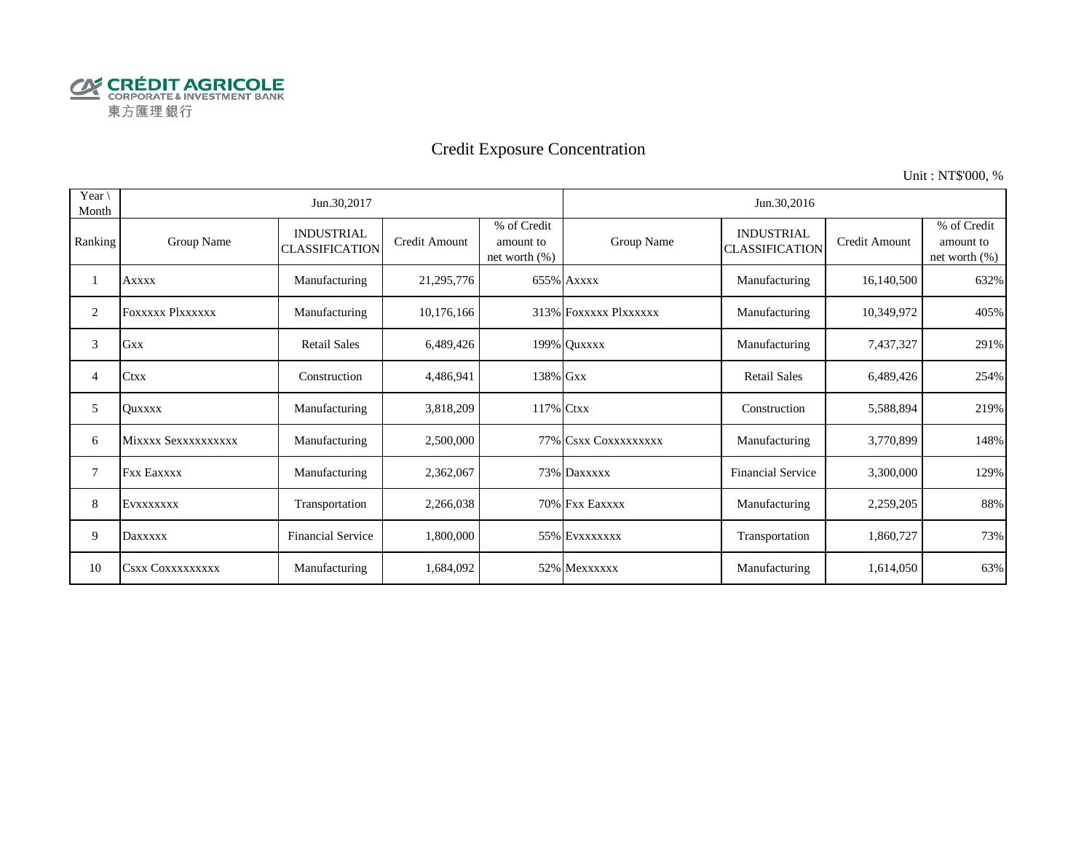

# Credit Exposure Concentration

Unit : NT\$'000, %

| Year \<br>Month |                         | Jun.30,2017                                |                      |                                              | Jun.30,2016           |                                            |               |                                              |  |  |
|-----------------|-------------------------|--------------------------------------------|----------------------|----------------------------------------------|-----------------------|--------------------------------------------|---------------|----------------------------------------------|--|--|
| Ranking         | Group Name              | <b>INDUSTRIAL</b><br><b>CLASSIFICATION</b> | <b>Credit Amount</b> | % of Credit<br>amount to<br>net worth $(\%)$ | Group Name            | <b>INDUSTRIAL</b><br><b>CLASSIFICATION</b> | Credit Amount | % of Credit<br>amount to<br>net worth $(\%)$ |  |  |
|                 | <b>Axxxx</b>            | Manufacturing                              | 21,295,776           |                                              | 655% Axxxx            | Manufacturing                              | 16,140,500    | 632%                                         |  |  |
| 2               | <b>FOXXXXX PIXXXXXX</b> | Manufacturing                              | 10,176,166           |                                              | 313% FOXXXXX Plxxxxxx | Manufacturing                              | 10,349,972    | 405%                                         |  |  |
| 3               | <b>Gxx</b>              | <b>Retail Sales</b>                        | 6,489,426            |                                              | 199% Quxxxx           | Manufacturing                              | 7,437,327     | 291%                                         |  |  |
| 4               | <b>Ctxx</b>             | Construction                               | 4,486,941            | 138% Gxx                                     |                       | <b>Retail Sales</b>                        | 6,489,426     | 254%                                         |  |  |
| 5               | <b>Ouxxxx</b>           | Manufacturing                              | 3,818,209            | 117% Ctxx                                    |                       | Construction                               | 5,588,894     | 219%                                         |  |  |
| 6               | Mixxxx Sexxxxxxxxxx     | Manufacturing                              | 2,500,000            |                                              | 77% CSXX COXXXXXXXX   | Manufacturing                              | 3,770,899     | 148%                                         |  |  |
| 7               | <b>Fxx Eaxxxx</b>       | Manufacturing                              | 2,362,067            |                                              | 73% Daxxxxx           | <b>Financial Service</b>                   | 3,300,000     | 129%                                         |  |  |
| 8               | EVXXXXXXX               | Transportation                             | 2,266,038            |                                              | 70% Fxx Eaxxxx        | Manufacturing                              | 2,259,205     | 88%                                          |  |  |
| 9               | Daxxxxx                 | <b>Financial Service</b>                   | 1,800,000            |                                              | 55% EVXXXXXXX         | Transportation                             | 1,860,727     | 73%                                          |  |  |
| 10              | <b>CSXX COXXXXXXXXX</b> | Manufacturing                              | 1,684,092            |                                              | 52% Mexxxxxx          | Manufacturing                              | 1,614,050     | 63%                                          |  |  |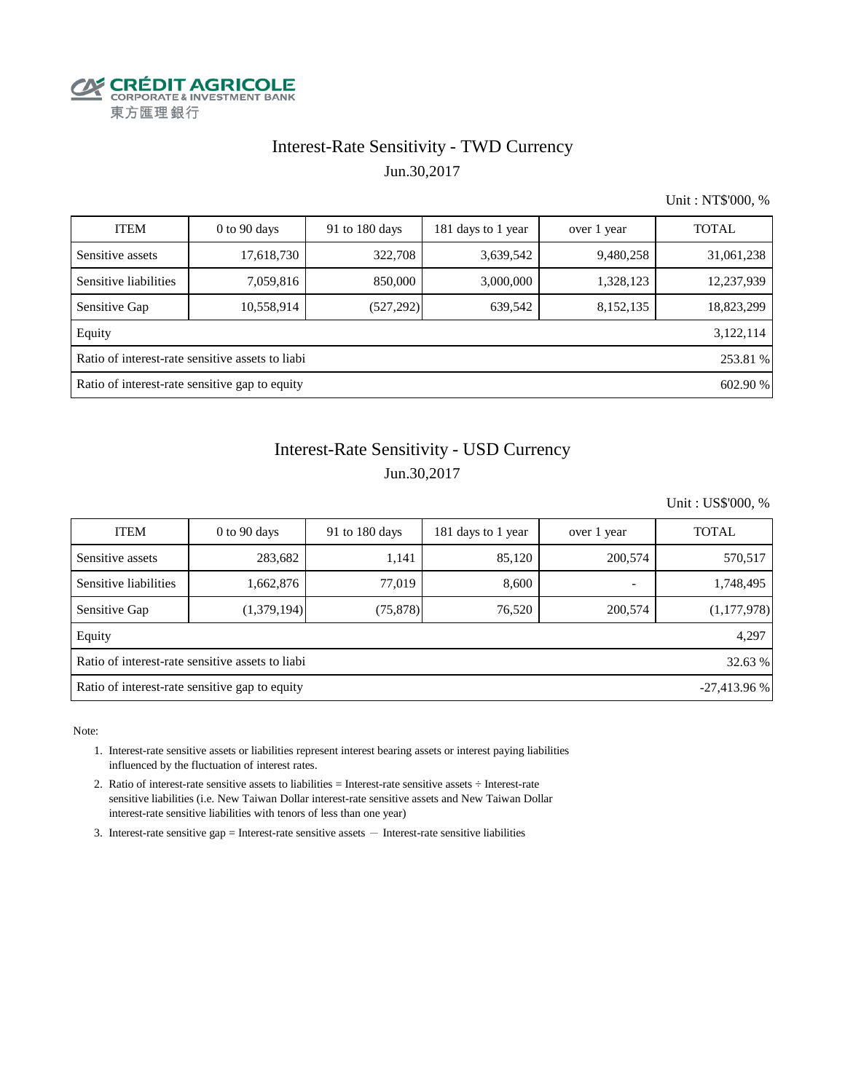

## Interest-Rate Sensitivity - TWD Currency Jun.30,2017

Unit : NT\$'000, %

| <b>ITEM</b>                                                  | $0$ to $90$ days                               | 91 to 180 days | 181 days to 1 year | over 1 year | <b>TOTAL</b> |  |  |
|--------------------------------------------------------------|------------------------------------------------|----------------|--------------------|-------------|--------------|--|--|
| Sensitive assets                                             | 17,618,730                                     | 322,708        | 3,639,542          | 9,480,258   | 31,061,238   |  |  |
| Sensitive liabilities                                        | 7,059,816                                      | 850,000        | 3,000,000          | 1,328,123   | 12,237,939   |  |  |
| Sensitive Gap                                                | 10,558,914                                     | (527, 292)     | 639,542            | 8,152,135   | 18,823,299   |  |  |
| Equity                                                       |                                                |                |                    |             | 3,122,114    |  |  |
| Ratio of interest-rate sensitive assets to liabi<br>253.81 % |                                                |                |                    |             |              |  |  |
|                                                              | Ratio of interest-rate sensitive gap to equity |                |                    |             | 602.90 %     |  |  |

# Interest-Rate Sensitivity - USD Currency Jun.30,2017

Unit : US\$'000, %

| <b>ITEM</b>                                                     | $0$ to 90 days | 91 to $180$ days | 181 days to 1 year | over 1 year | <b>TOTAL</b> |  |  |  |  |
|-----------------------------------------------------------------|----------------|------------------|--------------------|-------------|--------------|--|--|--|--|
| Sensitive assets                                                | 283,682        | 1,141            | 85,120             | 200,574     | 570,517      |  |  |  |  |
| Sensitive liabilities                                           | 1,662,876      | 77,019           | 8,600              | -           | 1,748,495    |  |  |  |  |
| Sensitive Gap                                                   | (1,379,194)    | (75, 878)        | 76,520             | 200,574     | (1,177,978)  |  |  |  |  |
| Equity                                                          |                |                  |                    |             | 4,297        |  |  |  |  |
| Ratio of interest-rate sensitive assets to liabi<br>32.63 %     |                |                  |                    |             |              |  |  |  |  |
| Ratio of interest-rate sensitive gap to equity<br>$-27,413.96%$ |                |                  |                    |             |              |  |  |  |  |

Note:

- 1. Interest-rate sensitive assets or liabilities represent interest bearing assets or interest paying liabilities influenced by the fluctuation of interest rates.
- 2. Ratio of interest-rate sensitive assets to liabilities = Interest-rate sensitive assets ÷ Interest-rate sensitive liabilities (i.e. New Taiwan Dollar interest-rate sensitive assets and New Taiwan Dollar interest-rate sensitive liabilities with tenors of less than one year)
- 3. Interest-rate sensitive gap = Interest-rate sensitive assets  $-$  Interest-rate sensitive liabilities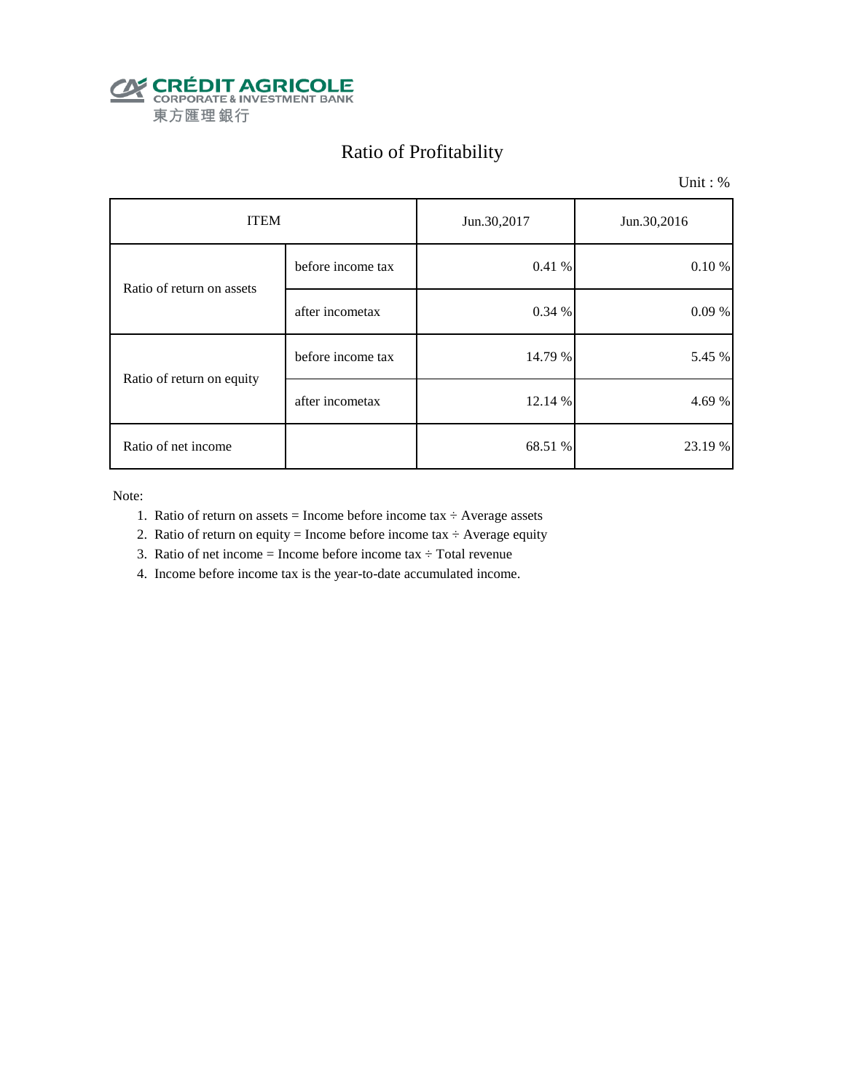

# Ratio of Profitability

Unit : %

| <b>ITEM</b>               |                   | Jun.30,2017 | Jun.30,2016 |  |
|---------------------------|-------------------|-------------|-------------|--|
| Ratio of return on assets | before income tax | 0.41%       | $0.10 \%$   |  |
|                           | after incometax   | 0.34 %      | 0.09%       |  |
|                           | before income tax | 14.79 %     | 5.45 %      |  |
| Ratio of return on equity | after incometax   | 12.14 %     | 4.69 %      |  |
| Ratio of net income       |                   | 68.51 %     | 23.19 %     |  |

Note:

- 1. Ratio of return on assets = Income before income tax  $\div$  Average assets
- 2. Ratio of return on equity = Income before income tax  $\div$  Average equity
- 3. Ratio of net income = Income before income tax  $\div$  Total revenue
- 4. Income before income tax is the year-to-date accumulated income.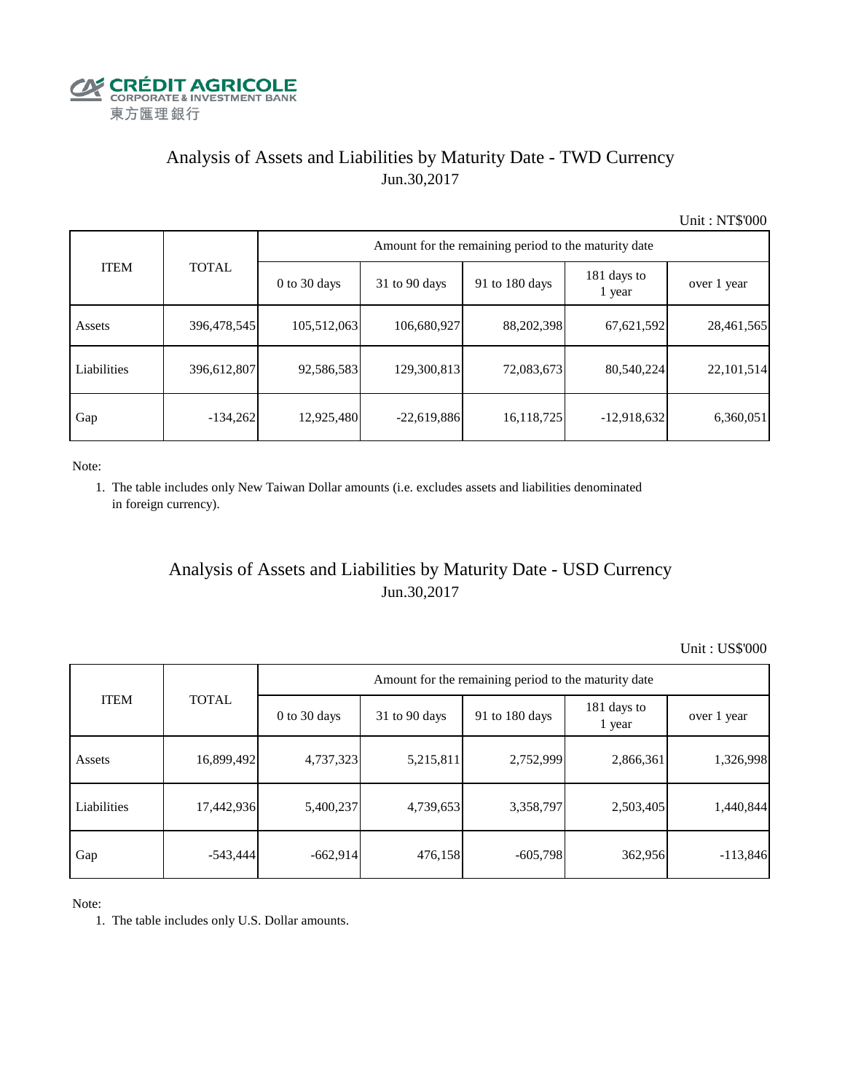

# Analysis of Assets and Liabilities by Maturity Date - TWD Currency Jun.30,2017

Unit : NT\$'000

| <b>ITEM</b> | <b>TOTAL</b> | Amount for the remaining period to the maturity date |                 |                |                       |             |  |  |
|-------------|--------------|------------------------------------------------------|-----------------|----------------|-----------------------|-------------|--|--|
|             |              | $0$ to 30 days                                       | $31$ to 90 days | 91 to 180 days | 181 days to<br>1 year | over 1 year |  |  |
| Assets      | 396,478,545  | 105,512,063                                          | 106,680,927     | 88,202,398     | 67,621,592            | 28,461,565  |  |  |
| Liabilities | 396,612,807  | 92,586,583                                           | 129,300,813     | 72,083,673     | 80,540,224            | 22,101,514  |  |  |
| Gap         | $-134,262$   | 12,925,480                                           | $-22,619,886$   | 16,118,725     | $-12,918,632$         | 6,360,051   |  |  |

Note:

 1. The table includes only New Taiwan Dollar amounts (i.e. excludes assets and liabilities denominated in foreign currency).

## Analysis of Assets and Liabilities by Maturity Date - USD Currency Jun.30,2017

Unit : US\$'000

|             | <b>TOTAL</b> | Amount for the remaining period to the maturity date |                 |                |                       |             |  |  |
|-------------|--------------|------------------------------------------------------|-----------------|----------------|-----------------------|-------------|--|--|
| <b>ITEM</b> |              | $0$ to 30 days                                       | $31$ to 90 days | 91 to 180 days | 181 days to<br>1 year | over 1 year |  |  |
| Assets      | 16,899,492   | 4,737,323                                            | 5,215,811       | 2,752,999      | 2,866,361             | 1,326,998   |  |  |
| Liabilities | 17,442,936   | 5,400,237                                            | 4,739,653       | 3,358,797      | 2,503,405             | 1,440,844   |  |  |
| Gap         | $-543,444$   | $-662,914$                                           | 476,158         | $-605,798$     | 362,956               | $-113,846$  |  |  |

Note:

1. The table includes only U.S. Dollar amounts.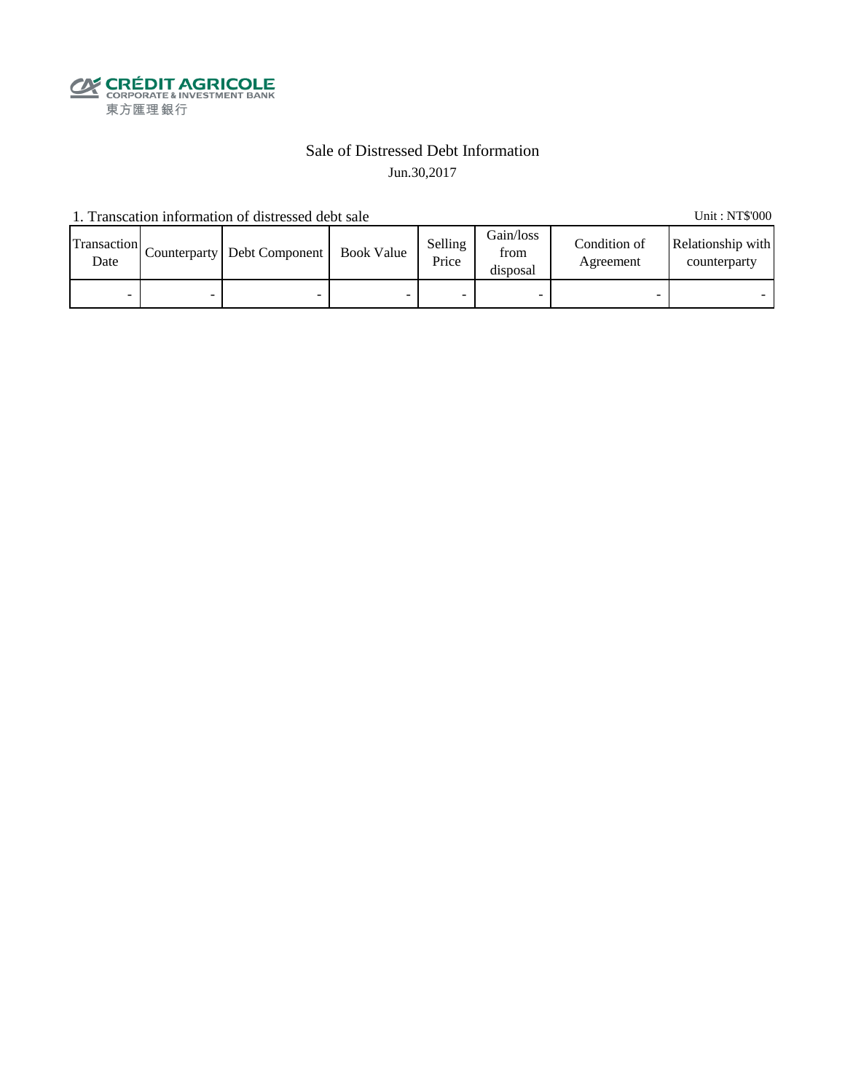

### Sale of Distressed Debt Information Jun.30,2017

1. Transcation information of distressed debt sale Unit: NT\$'000

Transaction  $\frac{\text{D}}{\text{Date}}$  Counterparty Debt Component Book Value Selling Price Gain/loss from disposal Condition of Agreement Relationship with counterparty - - - - - - - -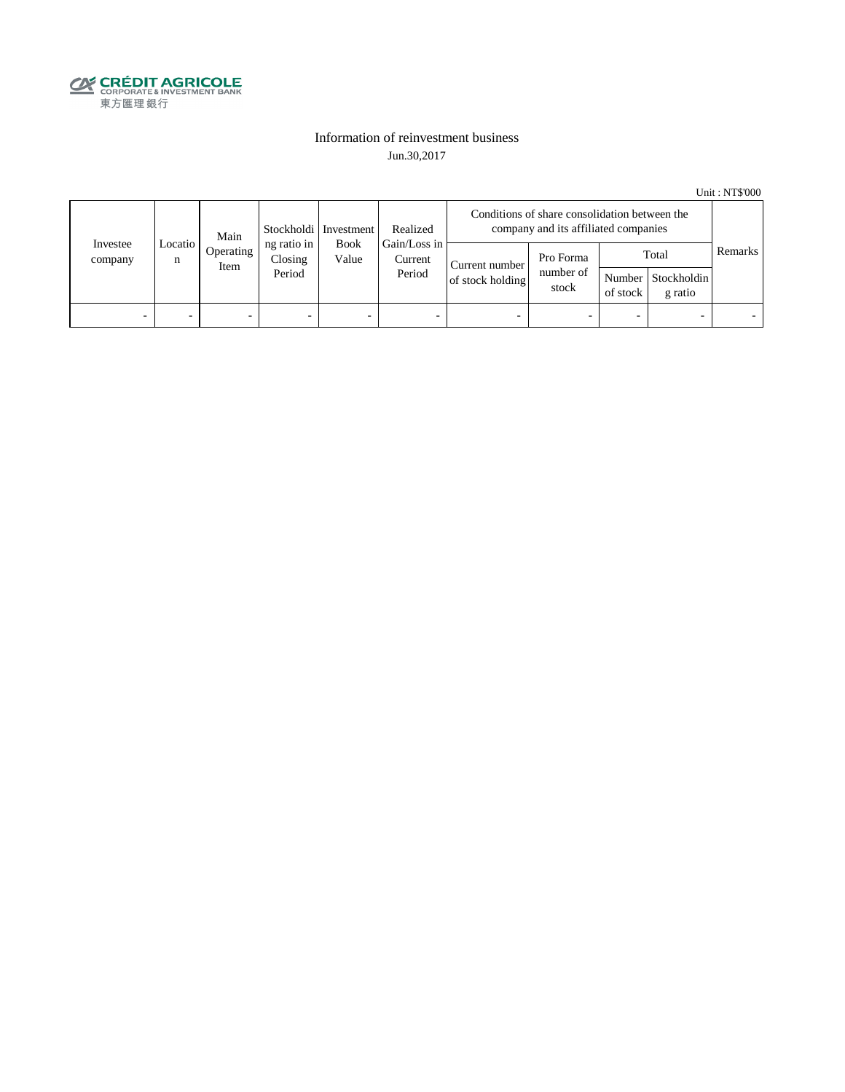

### Information of reinvestment business Jun.30,2017

Unit : NT\$'000

| Investee<br>company | Main<br>Locatio  <br>n<br>Item | Stockholdi   Investment | Realized                         | Conditions of share consolidation between the<br>company and its affiliated companies |                                                  |                                    |                                 |                          |                                        |         |
|---------------------|--------------------------------|-------------------------|----------------------------------|---------------------------------------------------------------------------------------|--------------------------------------------------|------------------------------------|---------------------------------|--------------------------|----------------------------------------|---------|
|                     |                                | Operating               | ng ratio in<br>Closing<br>Period | Value                                                                                 | Gain/Loss in<br><b>Book</b><br>Current<br>Period | Current number<br>of stock holding | Pro Forma<br>number of<br>stock | of stock                 | Total<br>Number Stockholdin<br>g ratio | Remarks |
| -                   |                                | -                       | $\overline{\phantom{0}}$         | -                                                                                     | $\overline{\phantom{a}}$                         | -                                  |                                 | $\overline{\phantom{0}}$ |                                        |         |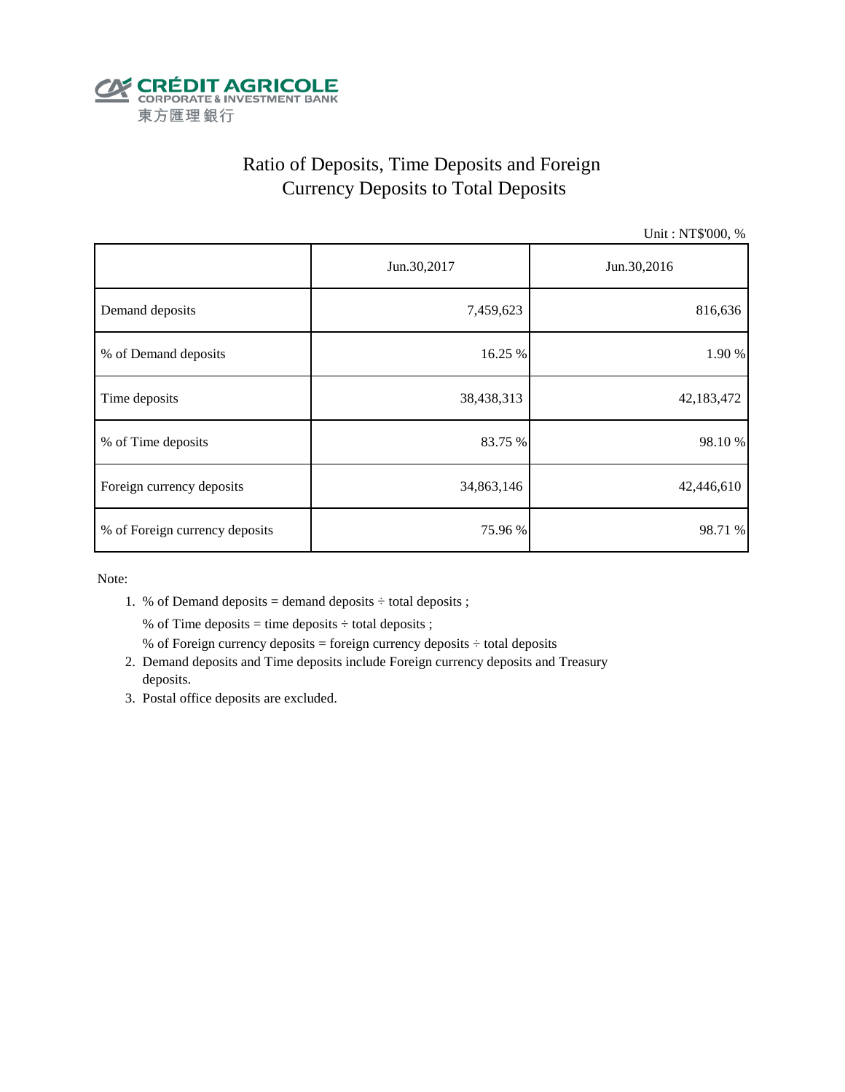

# Ratio of Deposits, Time Deposits and Foreign Currency Deposits to Total Deposits

Unit : NT\$'000, %

|                                | Jun.30,2017 | Jun.30,2016 |  |  |
|--------------------------------|-------------|-------------|--|--|
| Demand deposits                | 7,459,623   | 816,636     |  |  |
| % of Demand deposits           | 16.25 %     | 1.90 %      |  |  |
| Time deposits                  | 38,438,313  | 42,183,472  |  |  |
| % of Time deposits             | 83.75 %     | 98.10%      |  |  |
| Foreign currency deposits      | 34,863,146  | 42,446,610  |  |  |
| % of Foreign currency deposits | 75.96 %     | 98.71 %     |  |  |

Note:

1. % of Demand deposits = demand deposits  $\div$  total deposits ;

% of Time deposits = time deposits  $\div$  total deposits ;

- % of Foreign currency deposits = foreign currency deposits  $\div$  total deposits
- 2. Demand deposits and Time deposits include Foreign currency deposits and Treasury deposits.
- 3. Postal office deposits are excluded.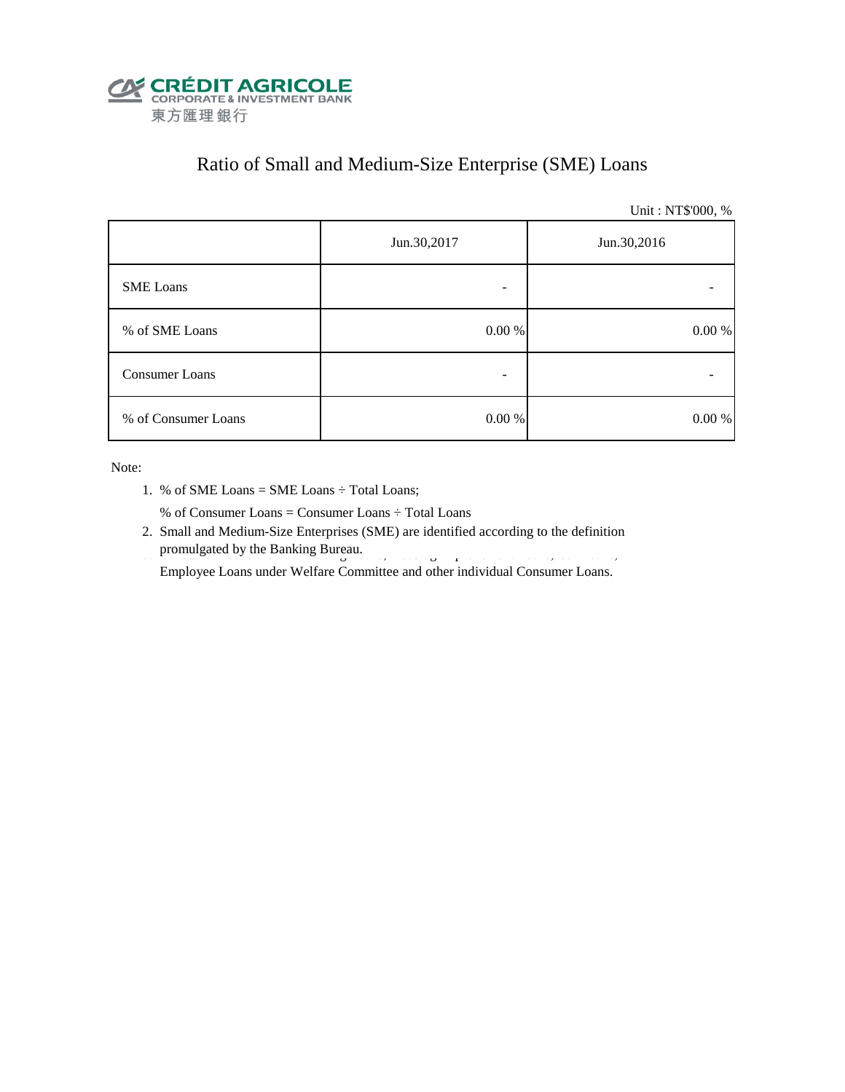

# Ratio of Small and Medium-Size Enterprise (SME) Loans

Unit : NT\$'000, %

|                     | Jun.30,2017 | Jun.30,2016 |  |  |
|---------------------|-------------|-------------|--|--|
| <b>SME</b> Loans    |             |             |  |  |
| % of SME Loans      | $0.00~\%$   | 0.00 %      |  |  |
| Consumer Loans      |             |             |  |  |
| % of Consumer Loans | $0.00\ \%$  | 0.00 %      |  |  |

Note:

1. % of SME Loans = SME Loans ÷ Total Loans;

% of Consumer Loans = Consumer Loans ÷ Total Loans

 2. Small and Medium-Size Enterprises (SME) are identified according to the definition promulgated by the Banking Bureau.

Employee Loans under Welfare Committee and other individual Consumer Loans.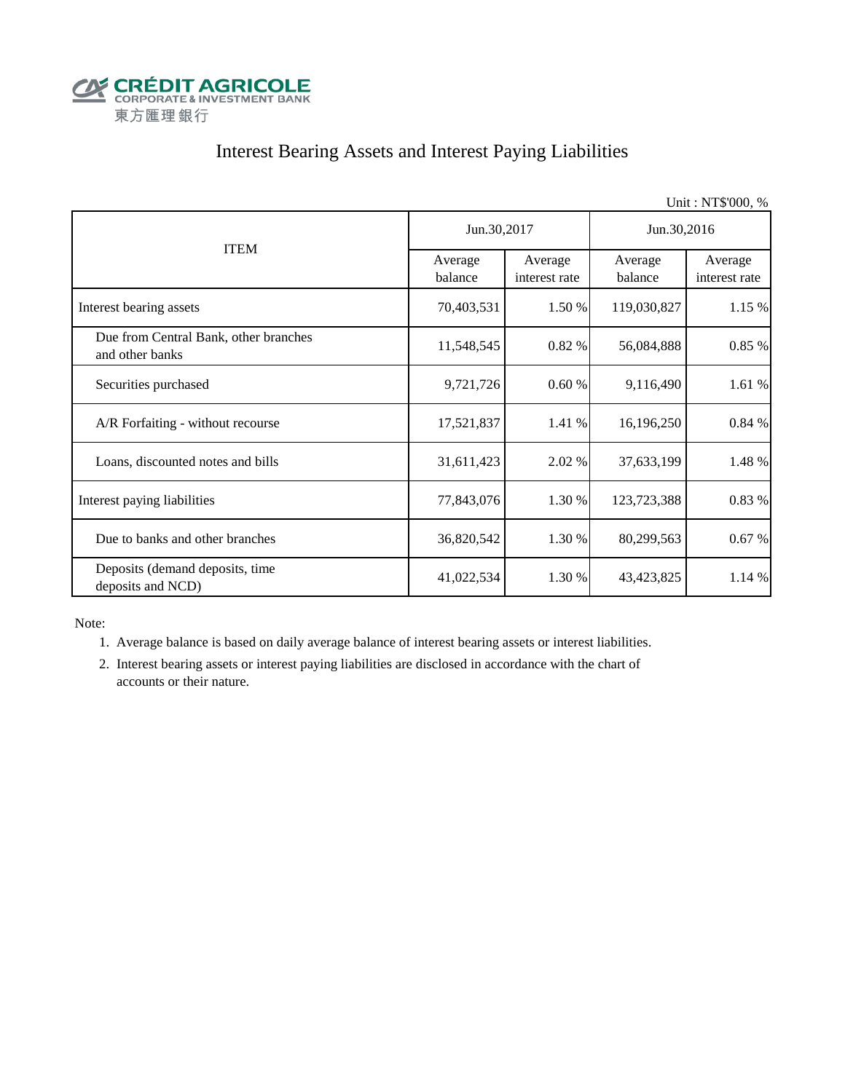

# Interest Bearing Assets and Interest Paying Liabilities

| Unit: NT\$'000, %                                        |                    |                          |                    |                          |  |  |
|----------------------------------------------------------|--------------------|--------------------------|--------------------|--------------------------|--|--|
|                                                          | Jun.30,2017        |                          | Jun.30,2016        |                          |  |  |
| <b>ITEM</b>                                              | Average<br>balance | Average<br>interest rate | Average<br>balance | Average<br>interest rate |  |  |
| Interest bearing assets                                  | 70,403,531         | 1.50 %                   | 119,030,827        | 1.15 %                   |  |  |
| Due from Central Bank, other branches<br>and other banks | 11,548,545         | 0.82 %                   | 56,084,888         | 0.85 %                   |  |  |
| Securities purchased                                     | 9,721,726          | 0.60%                    | 9,116,490          | 1.61 %                   |  |  |
| A/R Forfaiting - without recourse                        | 17,521,837         | 1.41 %                   | 16,196,250         | 0.84 %                   |  |  |
| Loans, discounted notes and bills                        | 31,611,423         | 2.02 %                   | 37,633,199         | 1.48 %                   |  |  |
| Interest paying liabilities                              | 77,843,076         | 1.30 %                   | 123,723,388        | 0.83%                    |  |  |
| Due to banks and other branches                          | 36,820,542         | 1.30 %                   | 80,299,563         | 0.67%                    |  |  |
| Deposits (demand deposits, time<br>deposits and NCD)     | 41,022,534         | 1.30 %                   | 43, 423, 825       | 1.14 %                   |  |  |

Note:

1. Average balance is based on daily average balance of interest bearing assets or interest liabilities.

 2. Interest bearing assets or interest paying liabilities are disclosed in accordance with the chart of accounts or their nature.